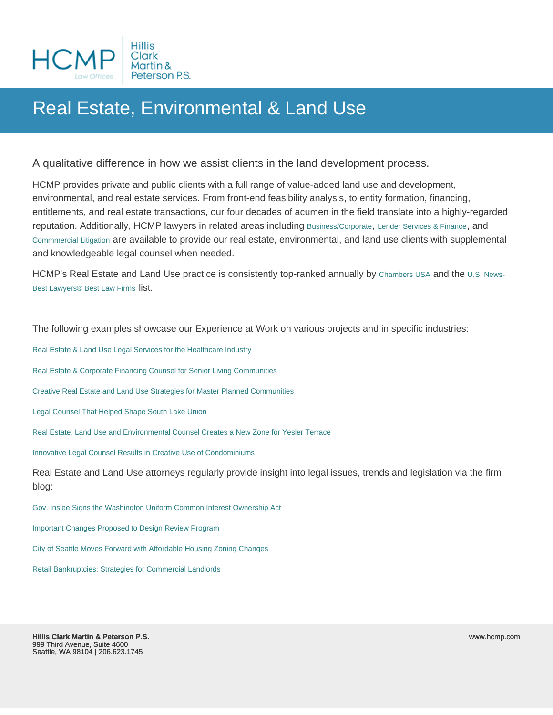## Real Estate, Environmental & Land Use

A qualitative difference in how we assist clients in the land development process.

HCMP provides private and public clients with a full range of value-added land use and development, environmental, and real estate services. From front-end feasibility analysis, to entity formation, financing, entitlements, and real estate transactions, our four decades of acumen in the field translate into a highly-regarded reputation. Additionally, HCMP lawyers in related areas including [Business/Corporate](http://www.hcmp.com/service/business), [Lender Services & Finance](http://www.hcmp.com/service/lender-services-and-finance), and [Commmercial Litigation](http://www.hcmp.com/service/litigation) are available to provide our real estate, environmental, and land use clients with supplemental and knowledgeable legal counsel when needed.

HCMP's Real Estate and Land Use practice is consistently top-ranked annually by [Chambers USA](http://www.chambersandpartners.com/USA/firm/119357/hillis-clark-martin-peterson-p-s) and the [U.S. News-](http://bestlawfirms.usnews.com/profile/hillis-clark-martin-peterson-p-s/rankings/19835)[Best Lawyers® Best Law Firms](http://bestlawfirms.usnews.com/profile/hillis-clark-martin-peterson-p-s/rankings/19835) list.

The following examples showcase our Experience at Work on various projects and in specific industries:

[Real Estate & Land Use Legal Services for the Healthcare Industry](http://www.hcmp.com/blog/our-experience-at-work/business/healthcare-industry-services)

[Real Estate & Corporate Financing Counsel for Senior Living Communities](http://www.hcmp.com/blog/our-experience-at-work/real-estate-and-land-use/senior-living-communities)

[Creative Real Estate and Land Use Strategies for Master Planned Communities](http://www.hcmp.com/blog/our-experience-at-work/real-estate-and-land-use/master-planned-communities)

[Legal Counsel That Helped Shape South Lake Union](http://www.hcmp.com/blog/our-experience-at-work/real-estate-and-land-use/south-lake-union)

[Real Estate, Land Use and Environmental Counsel Creates a New Zone for Yesler Terrace](http://www.hcmp.com/blog/our-experience-at-work/real-estate-and-land-use/yesler-terrace)

[Innovative Legal Counsel Results in Creative Use of Condominiums](http://www.hcmp.com/blog/our-experience-at-work/real-estate-and-land-use/creative-use-of-condominiums)

Real Estate and Land Use attorneys regularly provide insight into legal issues, trends and legislation via the firm blog:

[Gov. Inslee Signs the Washington Uniform Common Interest Ownership Act](http://www.hcmp.com/blog/news-and-events/post/gov-inslee-signs-the-washington-uniform-common-interest-ownership-act)

[Important Changes Proposed to Design Review Program](http://www.hcmp.com/blog/legal-resources/real-estate-and-land-use/important-changes-proposed-to-the-seattle-design-review-program)

[City of Seattle Moves Forward with Affordable Housing Zoning Changes](http://www.hcmp.com/blog/legal-resources/real-estate-and-land-use/city-of-seattle-moves-forward-with-affordable-housing-zoning-changes)

[Retail Bankruptcies: Strategies for Commercial Landlords](http://www.hcmp.com/blog/legal-resources/business/retail-bankruptcies-strategies-for-commercial-landlords)